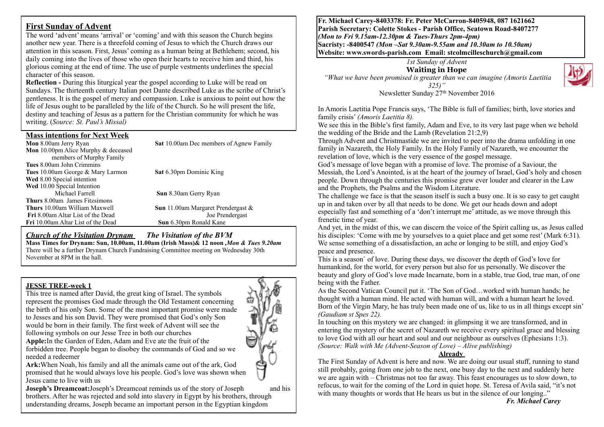## **First Sunday of Advent**

The word 'advent' means 'arrival' or 'coming' and with this season the Church begins another new year. There is a threefold coming of Jesus to which the Church draws our attention in this season. First, Jesus' coming as a human being at Bethlehem; second, his daily coming into the lives of those who open their hearts to receive him and third, his glorious coming at the end of time. The use of purple vestments underlines the special character of this season.

**Reflection -** During this liturgical year the gospel according to Luke will be read on Sundays. The thirteenth century Italian poet Dante described Luke as the scribe of Christ's gentleness. It is the gospel of mercy and compassion. Luke is anxious to point out how the life of Jesus ought to be paralleled by the life of the Church. So he will present the life, destiny and teaching of Jesus as a pattern for the Christian community for which he was writing. (*Source: St. Paul's Missal)*

#### **Mass intentions for Next Week**

| <b>Sat</b> 10.00am Dec members of Agnew Family |
|------------------------------------------------|
|                                                |
|                                                |
|                                                |
| Sat 6.30pm Dominic King                        |
|                                                |
|                                                |
| <b>Sun</b> 8.30am Gerry Ryan                   |
|                                                |
| <b>Sun</b> 11.00am Margaret Prendergast $\&$   |
| Joe Prendergast                                |
| <b>Sun</b> 6.30pm Ronald Kane                  |
|                                                |

### *Church of the Visitation Drynam**The Visitation of the BVM*

**Mass Times for Drynam: Sun, 10.00am, 11.00am (Irish Mass)& 12 noon** *,Mon & Tues 9.20am*  There will be a further Drynam Church Fundraising Committee meeting on Wednesday 30th November at 8PM in the hall.

### **JESSE TREE-week 1**

This tree is named after David, the great king of Israel. The symbols represent the promises God made through the Old Testament concerning the birth of his only Son. Some of the most important promise were made to Jesses and his son David. They were promised that God's only Son would be born in their family. The first week of Advent will see the following symbols on our Jesse Tree in both our churches **Apple:**In the Garden of Eden, Adam and Eve ate the fruit of the forbidden tree. People began to disobey the commands of God and so we



needed a redeemer **Ark:**When Noah, his family and all the animals came out of the ark, God promised that he would always love his people. God's love was shown when Jesus came to live with us

**Joseph's Dreamcoat:**Joseph's Dreamcoat reminds us of the story of Joseph and his brothers. After he was rejected and sold into slavery in Egypt by his brothers, through understanding dreams, Joseph became an important person in the Egyptian kingdom

**Fr. Michael Carey-8403378: Fr. Peter McCarron-8405948, 087 1621662 Parish Secretary: Colette Stokes - Parish Office, Seatown Road-8407277**  *(Mon to Fri 9.15am-12.30pm & Tues-Thurs 2pm-4pm)*  **Sacristy: -8400547** *(Mon –Sat 9.30am-9.55am and 10.30am to 10.50am)* **Website: [www.swords-parish.com Email:](http://www.swords-parish.com%20%20email) stcolmcilleschurch@gmail.com**

*1st Sunday of Advent* 

**Waiting in Hope**

*"What we have been promised is greater than we can imagine (Amoris Laetitia 325)"* 

Newsletter Sunday 27<sup>th</sup> November 2016

In Amoris Laetitia Pope Francis says, 'The Bible is full of families; birth, love stories and family crisis' *(Amoris Laetitia 8).*

We see this in the Bible's first family, Adam and Eve, to its very last page when we behold the wedding of the Bride and the Lamb (Revelation 21:2,9)

Through Advent and Christmastide we are invited to peer into the drama unfolding in one family in Nazareth, the Holy Family. In the Holy Family of Nazareth, we encounter the revelation of love, which is the very essence of the gospel message.

God's message of love began with a promise of love. The promise of a Saviour, the Messiah, the Lord's Anointed, is at the heart of the journey of Israel, God's holy and chosen people. Down through the centuries this promise grew ever louder and clearer in the Law and the Prophets, the Psalms and the Wisdom Literature.

The challenge we face is that the season itself is such a busy one. It is so easy to get caught up in and taken over by all that needs to be done. We get our heads down and adopt especially fast and something of a 'don't interrupt me' attitude, as we move through this frenetic time of year.

And yet, in the midst of this, we can discern the voice of the Spirit calling us, as Jesus called his disciples: 'Come with me by yourselves to a quiet place and get some rest' (Mark 6:31). We sense something of a dissatisfaction, an ache or longing to be still, and enjoy God's peace and presence.

This is a season` of love. During these days, we discover the depth of God's love for humankind, for the world, for every person but also for us personally. We discover the beauty and glory of God's love made Incarnate, born in a stable, true God, true man, of one being with the Father.

As the Second Vatican Council put it. 'The Son of God…worked with human hands; he thought with a human mind. He acted with human will, and with a human heart he loved. Born of the Virgin Mary, he has truly been made one of us, like to us in all things except sin' *(Gaudiam st Spes 22).*

In touching on this mystery we are changed: in glimpsing it we are transformed, and in entering the mystery of the secret of Nazareth we receive every spiritual grace and blessing to love God with all our heart and soul and our neighbour as ourselves (Ephesians 1:3). *(Source: Walk with Me (Advent-Season of Love) – Alive publishing)*

## **Already**

The First Sunday of Advent is here and now. We are doing our usual stuff, running to stand still probably, going from one job to the next, one busy day to the next and suddenly here we are again with – Christmas not too far away. This feast encourages us to slow down, to refocus, to wait for the coming of the Lord in quiet hope. St. Teresa of Avila said, "it's not with many thoughts or words that He hears us but in the silence of our longing.."

*Fr. Michael Carey*